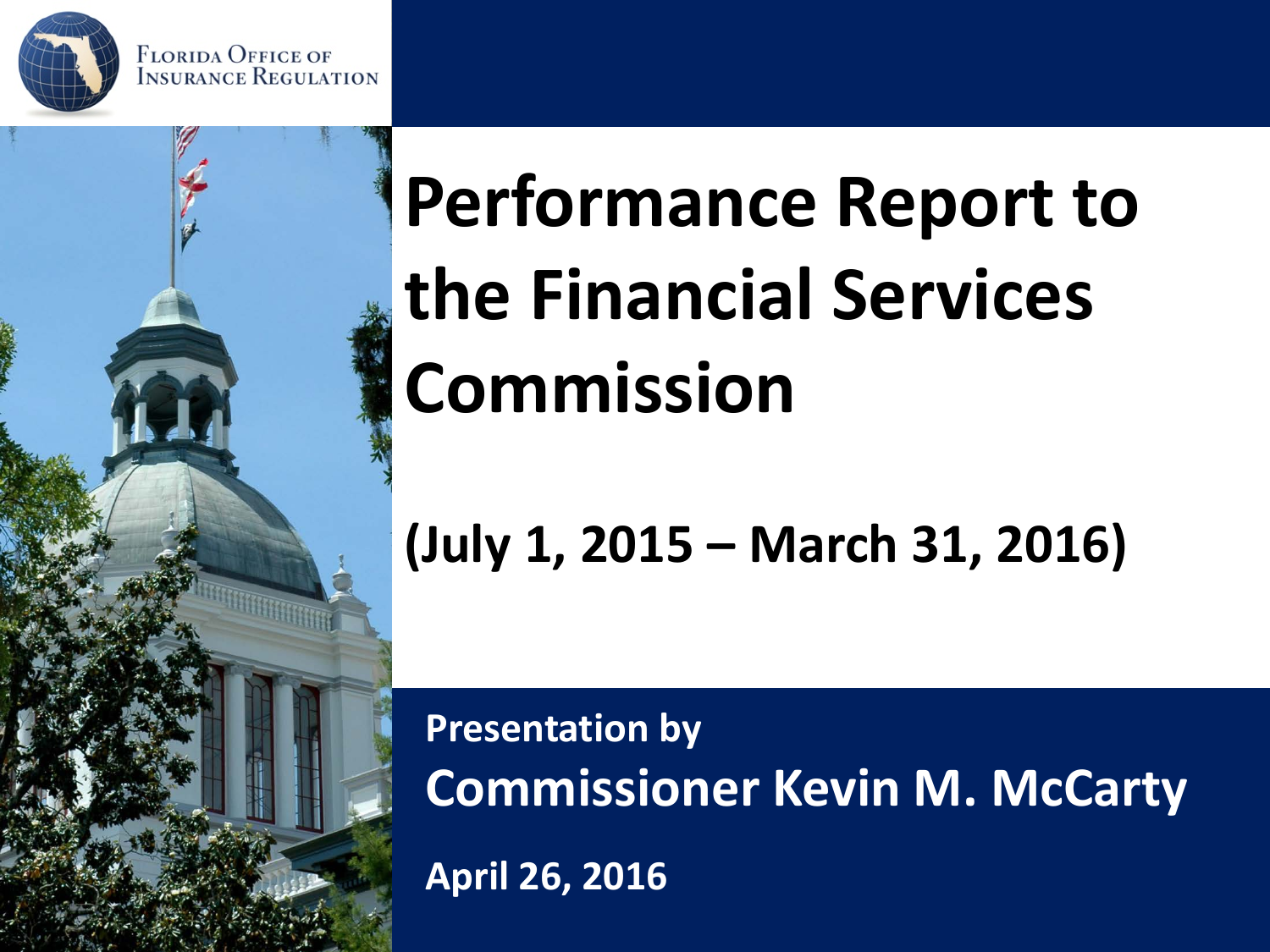





### **Performance Report to the Financial Services Commission**

#### **(July 1, 2015 – March 31, 2016)**

**Presentation by Commissioner Kevin M. McCarty**

**April 26, 2016**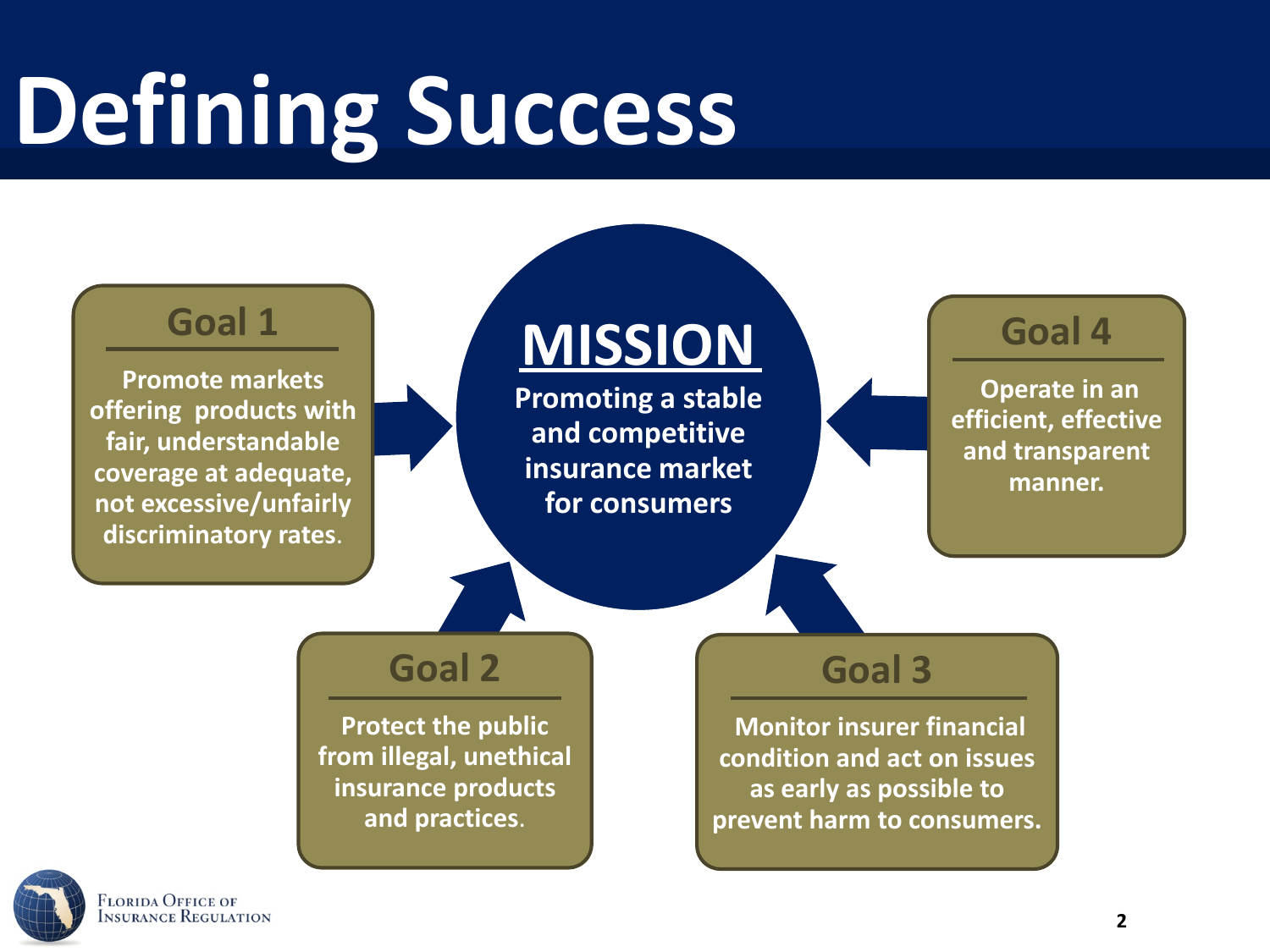# **Defining Success**



LORIDA OFFICE OF **NSURANCE REGULATION**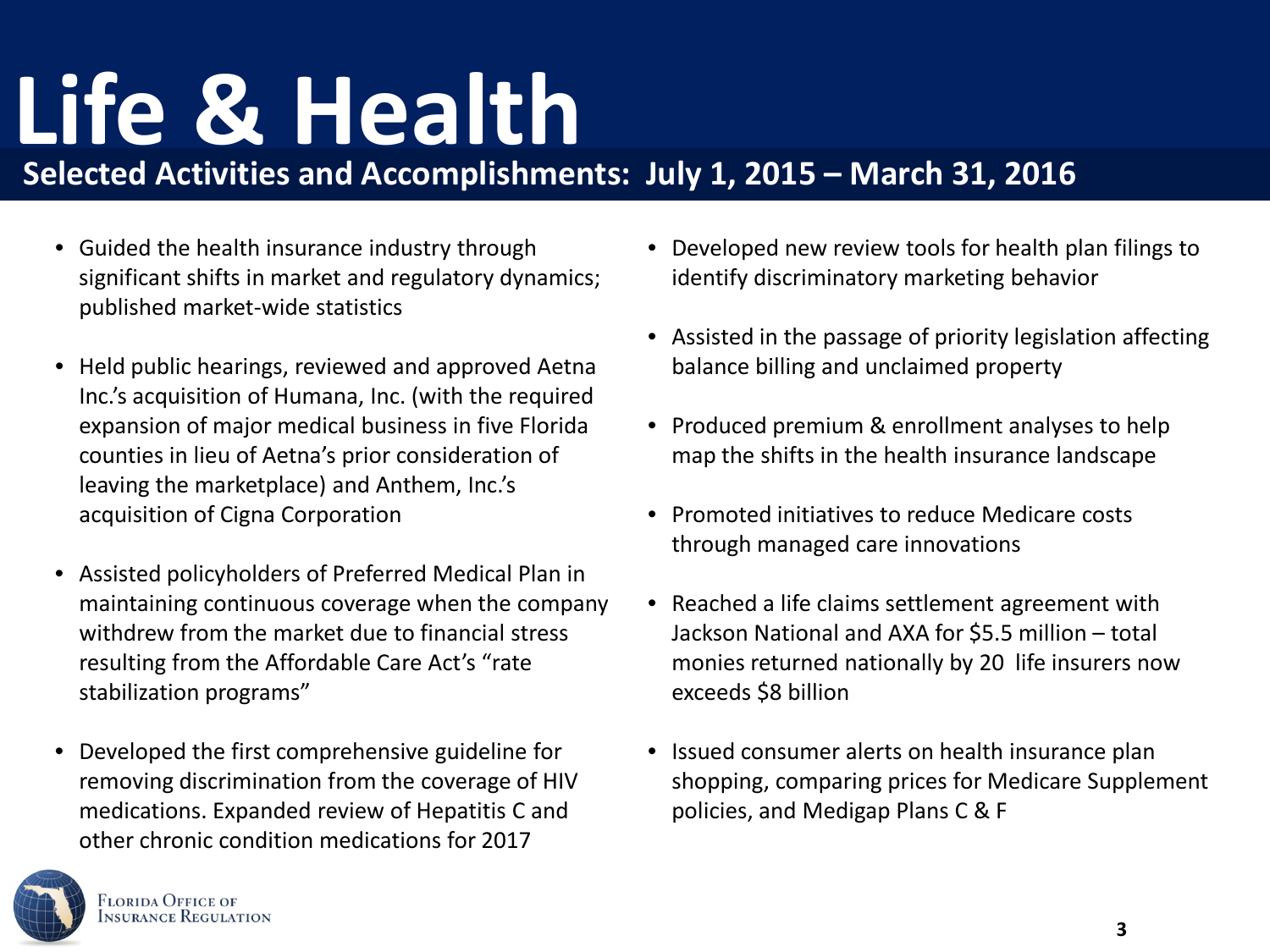### **Life & Health**

**Selected Activities and Accomplishments: July 1, 2015 – March 31, 2016**

- Guided the health insurance industry through significant shifts in market and regulatory dynamics; published market-wide statistics
- Held public hearings, reviewed and approved Aetna Inc.'s acquisition of Humana, Inc. (with the required expansion of major medical business in five Florida counties in lieu of Aetna's prior consideration of leaving the marketplace) and Anthem, Inc.'s acquisition of Cigna Corporation
- Assisted policyholders of Preferred Medical Plan in maintaining continuous coverage when the company withdrew from the market due to financial stress resulting from the Affordable Care Act's "rate stabilization programs"
- Developed the first comprehensive guideline for removing discrimination from the coverage of HIV medications. Expanded review of Hepatitis C and other chronic condition medications for 2017



- Developed new review tools for health plan filings to identify discriminatory marketing behavior
- Assisted in the passage of priority legislation affecting balance billing and unclaimed property
- Produced premium & enrollment analyses to help map the shifts in the health insurance landscape
- Promoted initiatives to reduce Medicare costs through managed care innovations
- Reached a life claims settlement agreement with Jackson National and AXA for \$5.5 million – total monies returned nationally by 20 life insurers now exceeds \$8 billion
- Issued consumer alerts on health insurance plan shopping, comparing prices for Medicare Supplement policies, and Medigap Plans C & F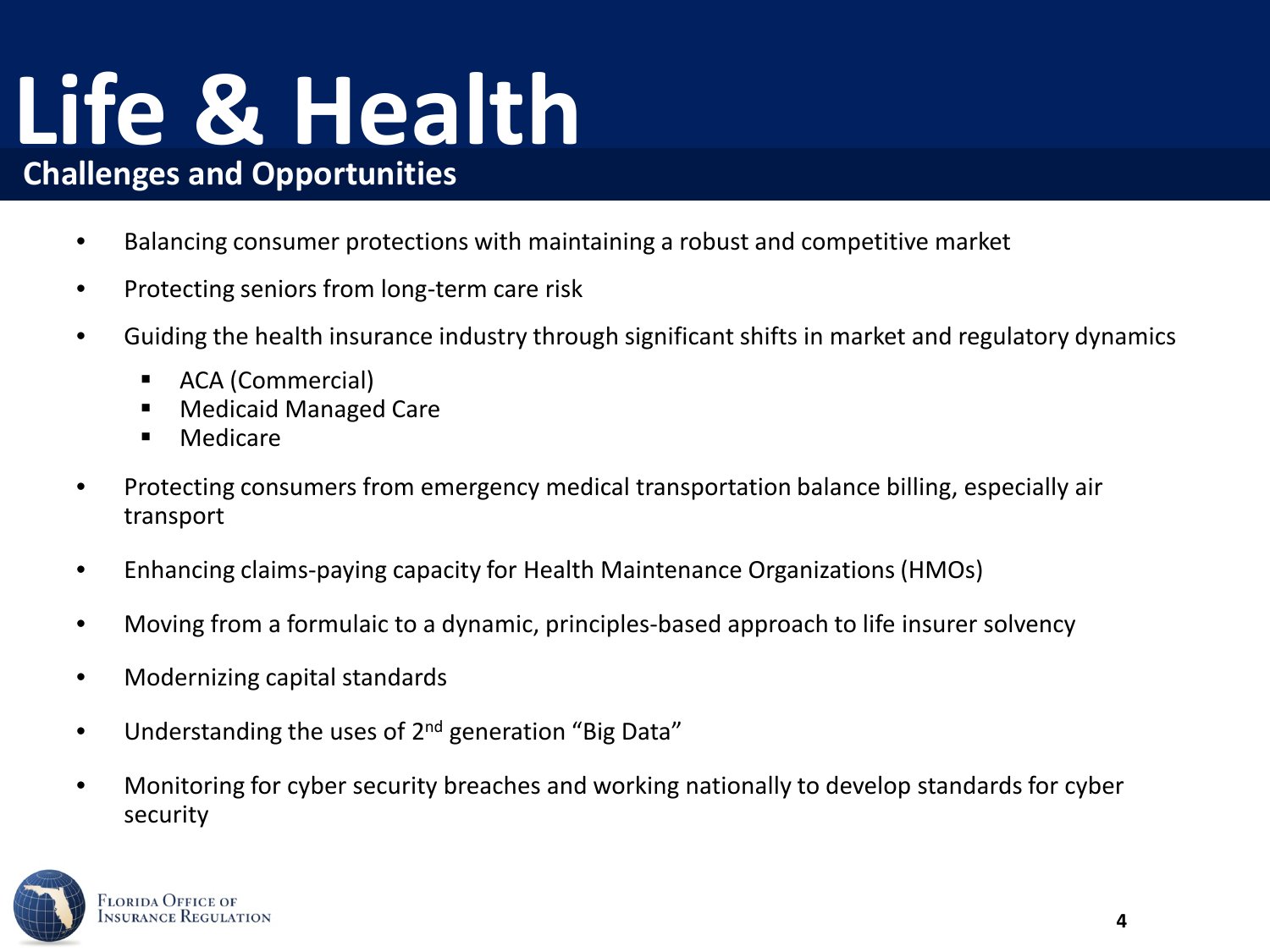#### **Life & Health Challenges and Opportunities**

- Balancing consumer protections with maintaining a robust and competitive market
- Protecting seniors from long-term care risk
- Guiding the health insurance industry through significant shifts in market and regulatory dynamics
	- **ACA (Commercial)**
	- Medicaid Managed Care
	- **Medicare**
- Protecting consumers from emergency medical transportation balance billing, especially air transport
- Enhancing claims-paying capacity for Health Maintenance Organizations (HMOs)
- Moving from a formulaic to a dynamic, principles-based approach to life insurer solvency
- Modernizing capital standards
- Understanding the uses of 2<sup>nd</sup> generation "Big Data"
- Monitoring for cyber security breaches and working nationally to develop standards for cyber security

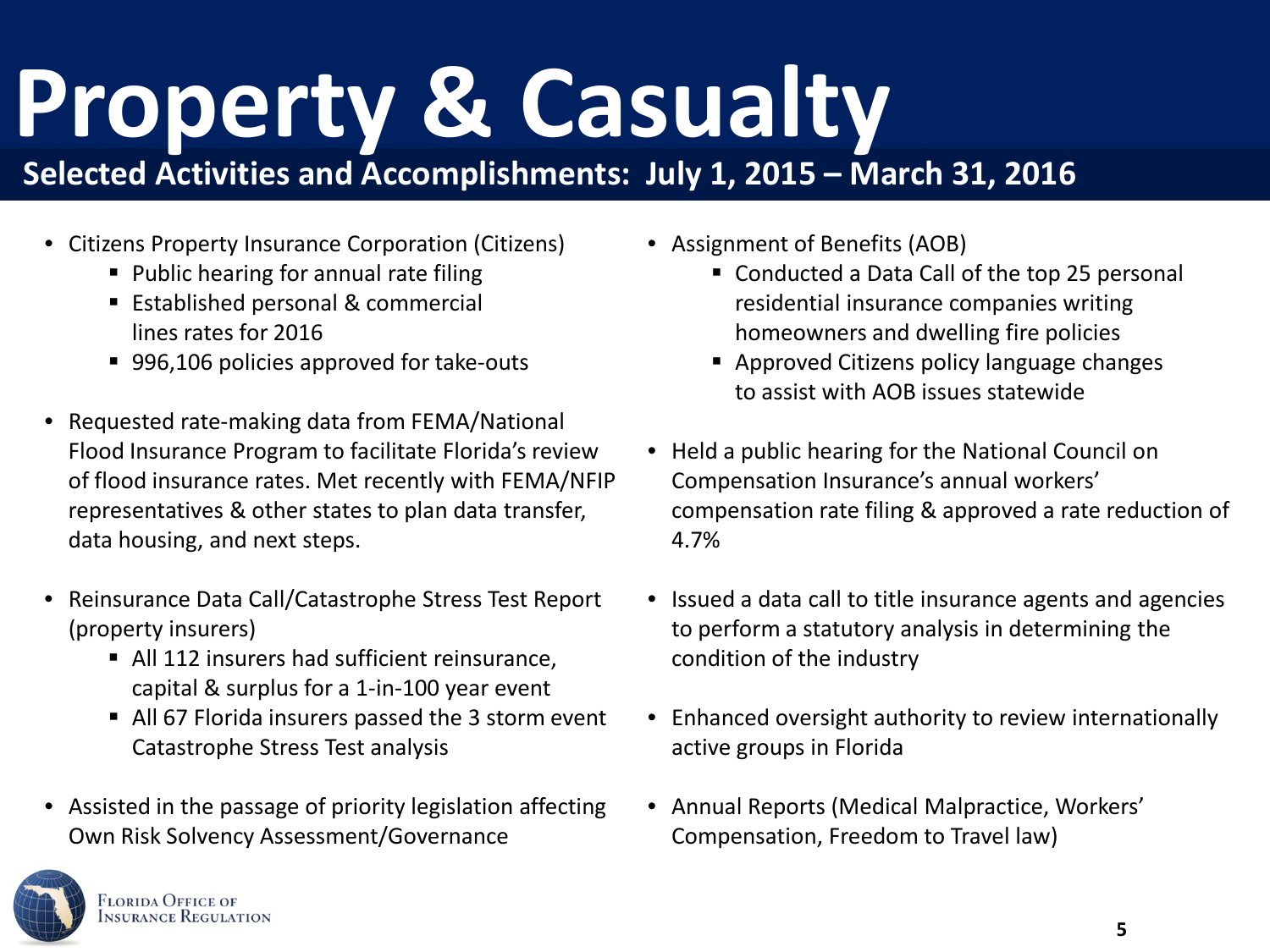## **Property & Casualty**

#### **Selected Activities and Accomplishments: July 1, 2015 – March 31, 2016**

- Citizens Property Insurance Corporation (Citizens)
	- Public hearing for annual rate filing
	- **Established personal & commercial** lines rates for 2016
	- 996,106 policies approved for take-outs
- Requested rate-making data from FEMA/National Flood Insurance Program to facilitate Florida's review of flood insurance rates. Met recently with FEMA/NFIP representatives & other states to plan data transfer, data housing, and next steps.
- Reinsurance Data Call/Catastrophe Stress Test Report (property insurers)
	- All 112 insurers had sufficient reinsurance, capital & surplus for a 1-in-100 year event
	- All 67 Florida insurers passed the 3 storm event Catastrophe Stress Test analysis
- Assisted in the passage of priority legislation affecting Own Risk Solvency Assessment/Governance



- Conducted a Data Call of the top 25 personal residential insurance companies writing homeowners and dwelling fire policies
- **Approved Citizens policy language changes** to assist with AOB issues statewide
- Held a public hearing for the National Council on Compensation Insurance's annual workers' compensation rate filing & approved a rate reduction of 4.7%
- Issued a data call to title insurance agents and agencies to perform a statutory analysis in determining the condition of the industry
- Enhanced oversight authority to review internationally active groups in Florida
- Annual Reports (Medical Malpractice, Workers' Compensation, Freedom to Travel law)

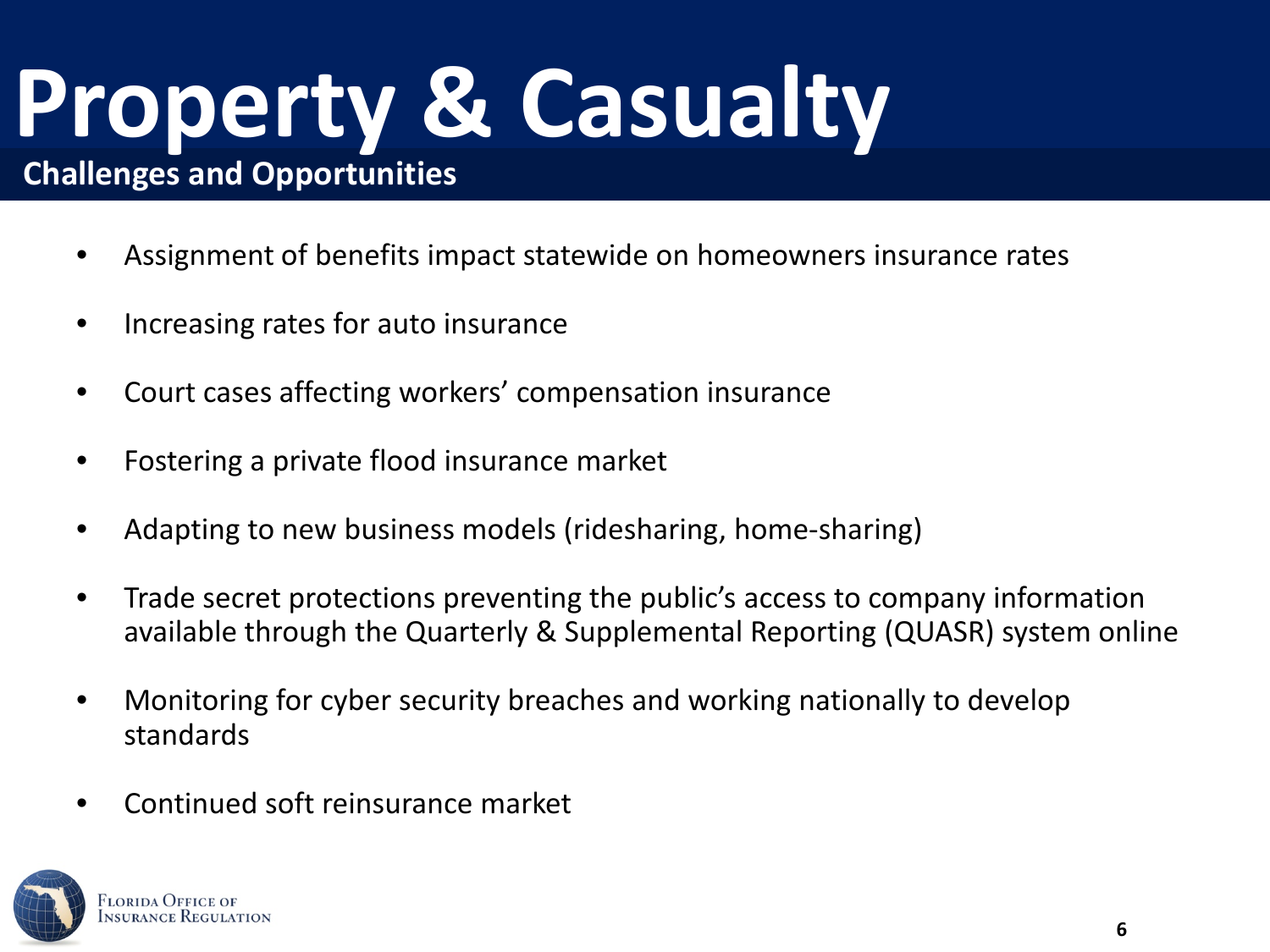### **Property & Casualty Challenges and Opportunities**

- Assignment of benefits impact statewide on homeowners insurance rates
- Increasing rates for auto insurance
- Court cases affecting workers' compensation insurance
- Fostering a private flood insurance market
- Adapting to new business models (ridesharing, home-sharing)
- Trade secret protections preventing the public's access to company information available through the Quarterly & Supplemental Reporting (QUASR) system online
- Monitoring for cyber security breaches and working nationally to develop standards
- Continued soft reinsurance market